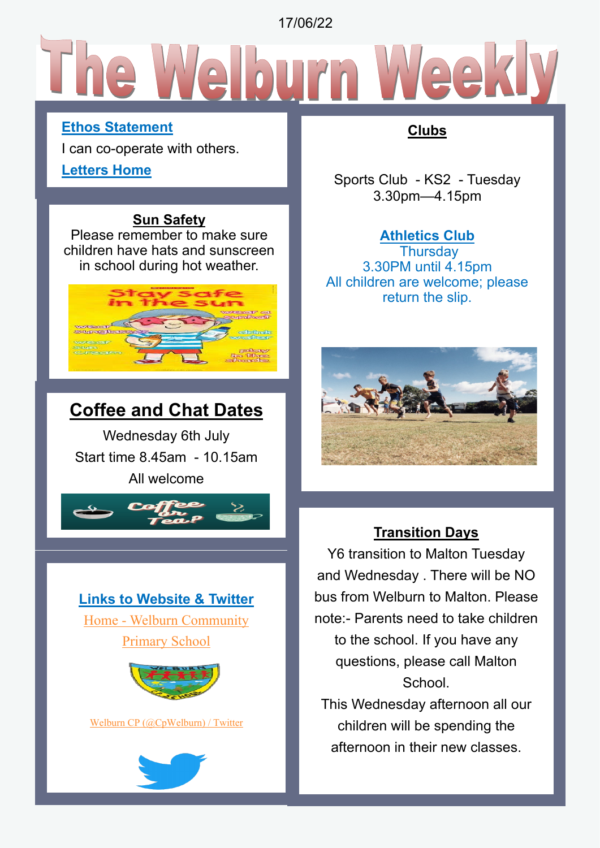17/06/22

# **Ethos Statement**

I can co-operate with others.

### **Letters Home**

# **Sun Safety**

Please remember to make sure children have hats and sunscreen in school during hot weather.



# **Coffee and Chat Dates**

Wednesday 6th July Start time 8.45am - 10.15am All welcome







[Welburn CP \(@CpWelburn\) / Twitter](https://twitter.com/CpWelburn)



# **Clubs**

Sports Club - KS2 - Tuesday 3.30pm—4.15pm

# **Athletics Club**

**Thursday** 3.30PM until 4.15pm All children are welcome; please return the slip.



# **Transition Days**

Y6 transition to Malton Tuesday and Wednesday . There will be NO bus from Welburn to Malton. Please note:- Parents need to take children to the school. If you have any questions, please call Malton School.

This Wednesday afternoon all our children will be spending the afternoon in their new classes.